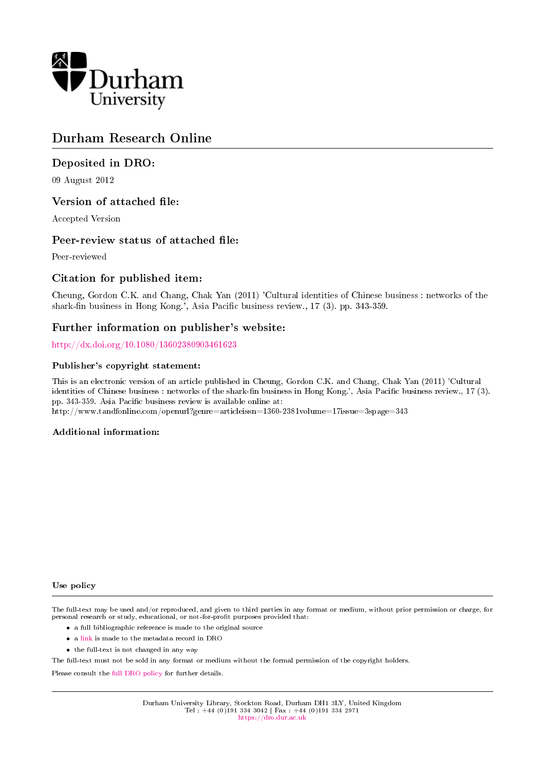

# Durham Research Online

# Deposited in DRO:

09 August 2012

#### Version of attached file:

Accepted Version

#### Peer-review status of attached file:

Peer-reviewed

#### Citation for published item:

Cheung, Gordon C.K. and Chang, Chak Yan (2011) 'Cultural identities of Chinese business : networks of the shark-fin business in Hong Kong.', Asia Pacific business review., 17 (3). pp. 343-359.

#### Further information on publisher's website:

<http://dx.doi.org/10.1080/13602380903461623>

#### Publisher's copyright statement:

This is an electronic version of an article published in Cheung, Gordon C.K. and Chang, Chak Yan (2011) 'Cultural identities of Chinese business : networks of the shark-fin business in Hong Kong.', Asia Pacific business review., 17 (3). pp. 343-359. Asia Pacific business review is available online at: http://www.tandfonline.com/openurl?genre=articleissn=1360-2381volume=17issue=3spage=343

#### Additional information:

#### Use policy

The full-text may be used and/or reproduced, and given to third parties in any format or medium, without prior permission or charge, for personal research or study, educational, or not-for-profit purposes provided that:

- a full bibliographic reference is made to the original source
- a [link](http://dro.dur.ac.uk/9781/) is made to the metadata record in DRO
- the full-text is not changed in any way

The full-text must not be sold in any format or medium without the formal permission of the copyright holders.

Please consult the [full DRO policy](https://dro.dur.ac.uk/policies/usepolicy.pdf) for further details.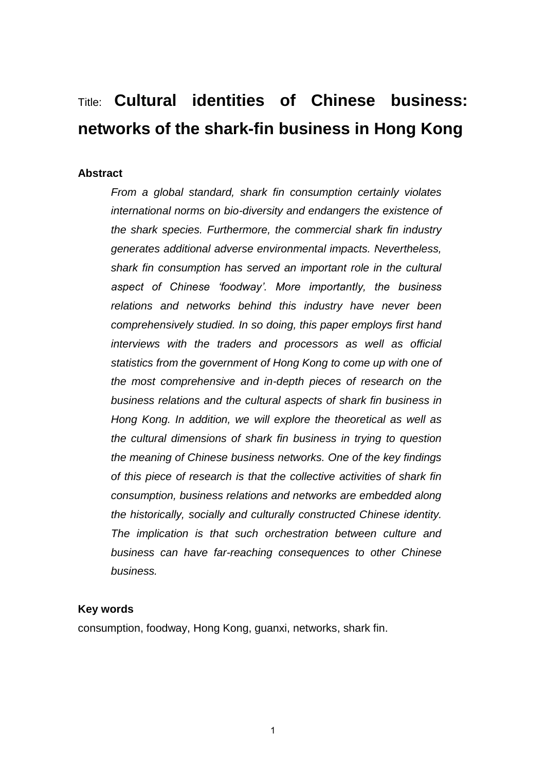# Title: **Cultural identities of Chinese business: networks of the shark-fin business in Hong Kong**

#### **Abstract**

*From a global standard, shark fin consumption certainly violates international norms on bio-diversity and endangers the existence of the shark species. Furthermore, the commercial shark fin industry generates additional adverse environmental impacts. Nevertheless, shark fin consumption has served an important role in the cultural aspect of Chinese 'foodway'. More importantly, the business relations and networks behind this industry have never been comprehensively studied. In so doing, this paper employs first hand interviews with the traders and processors as well as official statistics from the government of Hong Kong to come up with one of the most comprehensive and in-depth pieces of research on the business relations and the cultural aspects of shark fin business in Hong Kong. In addition, we will explore the theoretical as well as the cultural dimensions of shark fin business in trying to question the meaning of Chinese business networks. One of the key findings of this piece of research is that the collective activities of shark fin consumption, business relations and networks are embedded along the historically, socially and culturally constructed Chinese identity. The implication is that such orchestration between culture and business can have far-reaching consequences to other Chinese business.*

# **Key words**

consumption, foodway, Hong Kong, guanxi, networks, shark fin.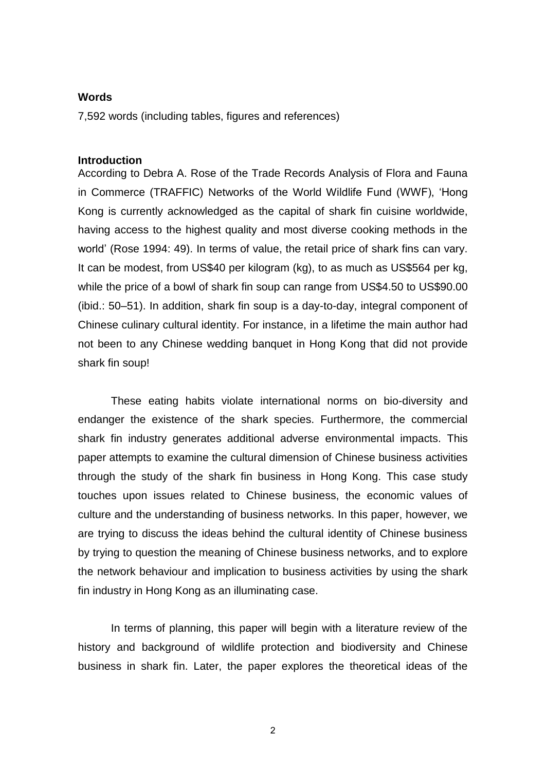#### **Words**

7,592 words (including tables, figures and references)

#### **Introduction**

According to Debra A. Rose of the Trade Records Analysis of Flora and Fauna in Commerce (TRAFFIC) Networks of the World Wildlife Fund (WWF), 'Hong Kong is currently acknowledged as the capital of shark fin cuisine worldwide, having access to the highest quality and most diverse cooking methods in the world' (Rose 1994: 49). In terms of value, the retail price of shark fins can vary. It can be modest, from US\$40 per kilogram (kg), to as much as US\$564 per kg, while the price of a bowl of shark fin soup can range from US\$4.50 to US\$90.00 (ibid.: 50–51). In addition, shark fin soup is a day-to-day, integral component of Chinese culinary cultural identity. For instance, in a lifetime the main author had not been to any Chinese wedding banquet in Hong Kong that did not provide shark fin soup!

These eating habits violate international norms on bio-diversity and endanger the existence of the shark species. Furthermore, the commercial shark fin industry generates additional adverse environmental impacts. This paper attempts to examine the cultural dimension of Chinese business activities through the study of the shark fin business in Hong Kong. This case study touches upon issues related to Chinese business, the economic values of culture and the understanding of business networks. In this paper, however, we are trying to discuss the ideas behind the cultural identity of Chinese business by trying to question the meaning of Chinese business networks, and to explore the network behaviour and implication to business activities by using the shark fin industry in Hong Kong as an illuminating case.

In terms of planning, this paper will begin with a literature review of the history and background of wildlife protection and biodiversity and Chinese business in shark fin. Later, the paper explores the theoretical ideas of the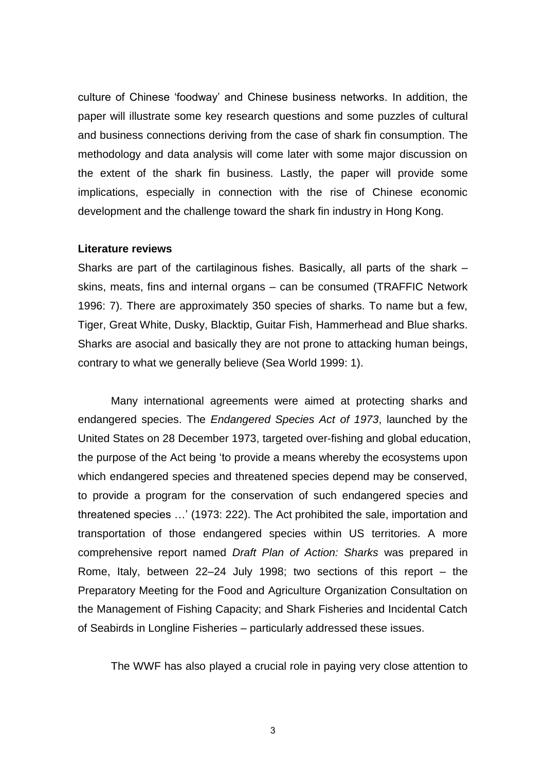culture of Chinese 'foodway' and Chinese business networks. In addition, the paper will illustrate some key research questions and some puzzles of cultural and business connections deriving from the case of shark fin consumption. The methodology and data analysis will come later with some major discussion on the extent of the shark fin business. Lastly, the paper will provide some implications, especially in connection with the rise of Chinese economic development and the challenge toward the shark fin industry in Hong Kong.

#### **Literature reviews**

Sharks are part of the cartilaginous fishes. Basically, all parts of the shark – skins, meats, fins and internal organs – can be consumed (TRAFFIC Network 1996: 7). There are approximately 350 species of sharks. To name but a few, Tiger, Great White, Dusky, Blacktip, Guitar Fish, Hammerhead and Blue sharks. Sharks are asocial and basically they are not prone to attacking human beings, contrary to what we generally believe (Sea World 1999: 1).

Many international agreements were aimed at protecting sharks and endangered species. The *Endangered Species Act of 1973*, launched by the United States on 28 December 1973, targeted over-fishing and global education, the purpose of the Act being 'to provide a means whereby the ecosystems upon which endangered species and threatened species depend may be conserved, to provide a program for the conservation of such endangered species and threatened species …' (1973: 222). The Act prohibited the sale, importation and transportation of those endangered species within US territories. A more comprehensive report named *Draft Plan of Action: Sharks* was prepared in Rome, Italy, between 22–24 July 1998; two sections of this report – the Preparatory Meeting for the Food and Agriculture Organization Consultation on the Management of Fishing Capacity; and Shark Fisheries and Incidental Catch of Seabirds in Longline Fisheries – particularly addressed these issues.

The WWF has also played a crucial role in paying very close attention to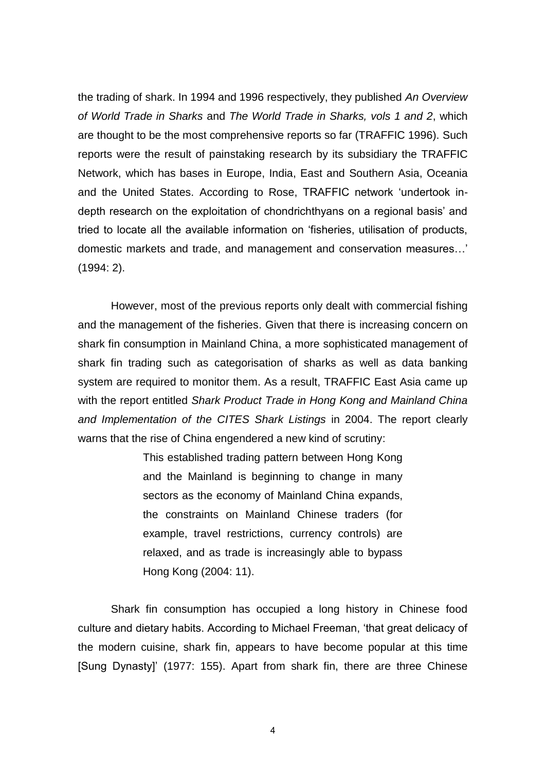the trading of shark. In 1994 and 1996 respectively, they published *An Overview of World Trade in Sharks* and *The World Trade in Sharks, vols 1 and 2*, which are thought to be the most comprehensive reports so far (TRAFFIC 1996). Such reports were the result of painstaking research by its subsidiary the TRAFFIC Network, which has bases in Europe, India, East and Southern Asia, Oceania and the United States. According to Rose, TRAFFIC network 'undertook indepth research on the exploitation of chondrichthyans on a regional basis' and tried to locate all the available information on 'fisheries, utilisation of products, domestic markets and trade, and management and conservation measures…' (1994: 2).

However, most of the previous reports only dealt with commercial fishing and the management of the fisheries. Given that there is increasing concern on shark fin consumption in Mainland China, a more sophisticated management of shark fin trading such as categorisation of sharks as well as data banking system are required to monitor them. As a result, TRAFFIC East Asia came up with the report entitled *Shark Product Trade in Hong Kong and Mainland China and Implementation of the CITES Shark Listings* in 2004. The report clearly warns that the rise of China engendered a new kind of scrutiny:

> This established trading pattern between Hong Kong and the Mainland is beginning to change in many sectors as the economy of Mainland China expands, the constraints on Mainland Chinese traders (for example, travel restrictions, currency controls) are relaxed, and as trade is increasingly able to bypass Hong Kong (2004: 11).

Shark fin consumption has occupied a long history in Chinese food culture and dietary habits. According to Michael Freeman, 'that great delicacy of the modern cuisine, shark fin, appears to have become popular at this time [Sung Dynasty]' (1977: 155). Apart from shark fin, there are three Chinese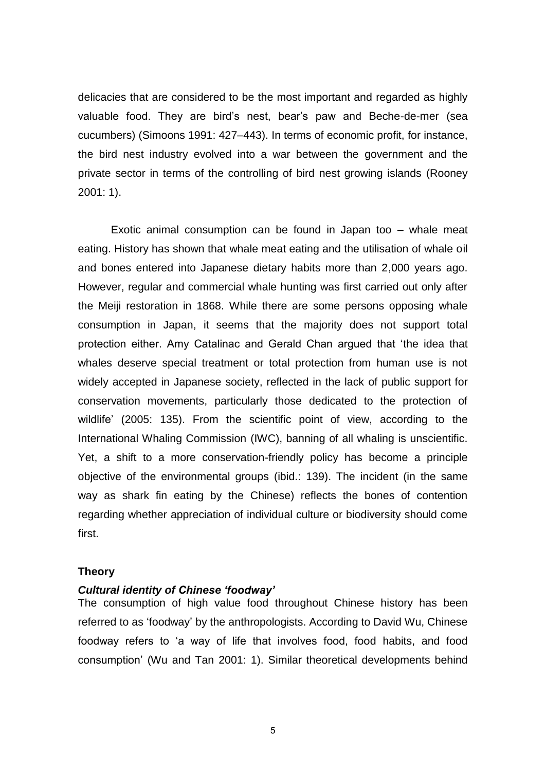delicacies that are considered to be the most important and regarded as highly valuable food. They are bird's nest, bear's paw and Beche-de-mer (sea cucumbers) (Simoons 1991: 427–443). In terms of economic profit, for instance, the bird nest industry evolved into a war between the government and the private sector in terms of the controlling of bird nest growing islands (Rooney 2001: 1).

Exotic animal consumption can be found in Japan too – whale meat eating. History has shown that whale meat eating and the utilisation of whale oil and bones entered into Japanese dietary habits more than 2,000 years ago. However, regular and commercial whale hunting was first carried out only after the Meiji restoration in 1868. While there are some persons opposing whale consumption in Japan, it seems that the majority does not support total protection either. Amy Catalinac and Gerald Chan argued that 'the idea that whales deserve special treatment or total protection from human use is not widely accepted in Japanese society, reflected in the lack of public support for conservation movements, particularly those dedicated to the protection of wildlife' (2005: 135). From the scientific point of view, according to the [International Whaling Commission \(](http://uk.wrs.yahoo.com/_ylt=A0geumuDQ1tGfbAALXZLBQx.;_ylu=X3oDMTE5a2FsOHVhBGNvbG8DZQRsA1dTMQRwb3MDMQRzZWMDc3IEdnRpZANVSzAyNjJfMjYy/SIG=11ds0m8a3/EXP=1180472579/**http%3A/www.iwcoffice.org/)IWC), banning of all whaling is unscientific. Yet, a shift to a more conservation-friendly policy has become a principle objective of the environmental groups (ibid.: 139). The incident (in the same way as shark fin eating by the Chinese) reflects the bones of contention regarding whether appreciation of individual culture or biodiversity should come first.

#### **Theory**

#### *Cultural identity of Chinese 'foodway'*

The consumption of high value food throughout Chinese history has been referred to as 'foodway' by the anthropologists. According to David Wu, Chinese foodway refers to 'a way of life that involves food, food habits, and food consumption' (Wu and Tan 2001: 1). Similar theoretical developments behind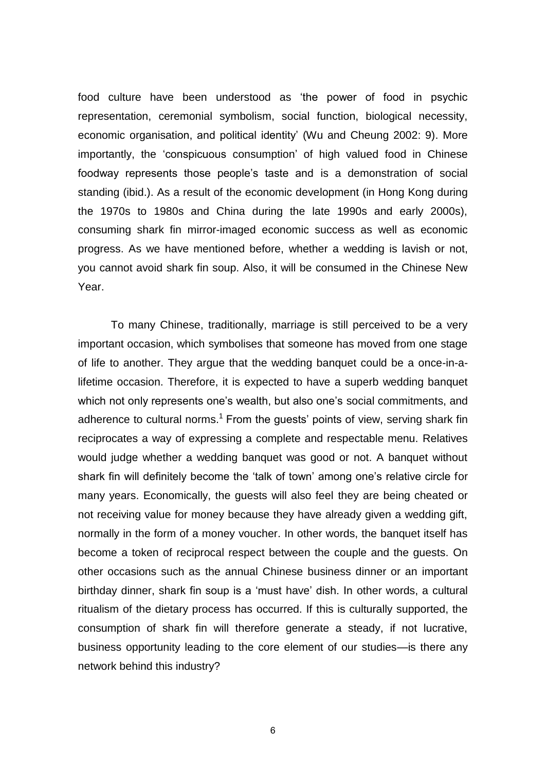food culture have been understood as 'the power of food in psychic representation, ceremonial symbolism, social function, biological necessity, economic organisation, and political identity' (Wu and Cheung 2002: 9). More importantly, the 'conspicuous consumption' of high valued food in Chinese foodway represents those people's taste and is a demonstration of social standing (ibid.). As a result of the economic development (in Hong Kong during the 1970s to 1980s and China during the late 1990s and early 2000s), consuming shark fin mirror-imaged economic success as well as economic progress. As we have mentioned before, whether a wedding is lavish or not, you cannot avoid shark fin soup. Also, it will be consumed in the Chinese New Year.

To many Chinese, traditionally, marriage is still perceived to be a very important occasion, which symbolises that someone has moved from one stage of life to another. They argue that the wedding banquet could be a once-in-alifetime occasion. Therefore, it is expected to have a superb wedding banquet which not only represents one's wealth, but also one's social commitments, and adherence to cultural norms.<sup>1</sup> From the guests' points of view, serving shark fin reciprocates a way of expressing a complete and respectable menu. Relatives would judge whether a wedding banquet was good or not. A banquet without shark fin will definitely become the 'talk of town' among one's relative circle for many years. Economically, the guests will also feel they are being cheated or not receiving value for money because they have already given a wedding gift, normally in the form of a money voucher. In other words, the banquet itself has become a token of reciprocal respect between the couple and the guests. On other occasions such as the annual Chinese business dinner or an important birthday dinner, shark fin soup is a 'must have' dish. In other words, a cultural ritualism of the dietary process has occurred. If this is culturally supported, the consumption of shark fin will therefore generate a steady, if not lucrative, business opportunity leading to the core element of our studies—is there any network behind this industry?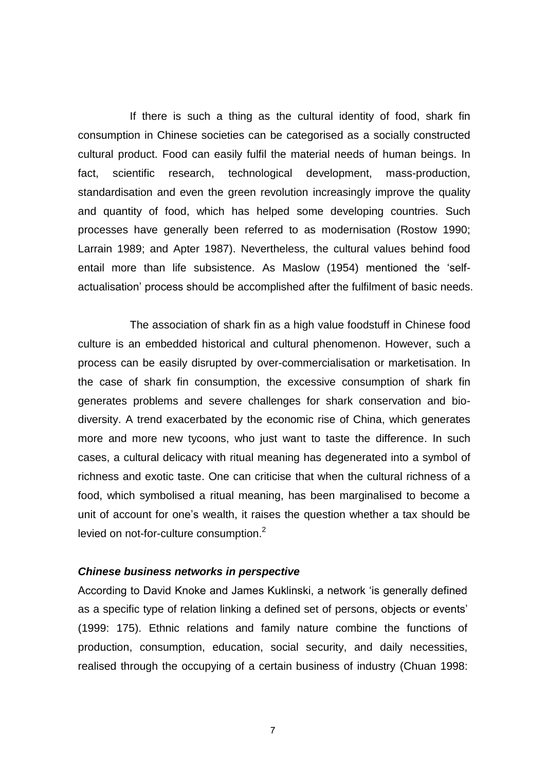If there is such a thing as the cultural identity of food, shark fin consumption in Chinese societies can be categorised as a socially constructed cultural product. Food can easily fulfil the material needs of human beings. In fact, scientific research, technological development, mass-production, standardisation and even the green revolution increasingly improve the quality and quantity of food, which has helped some developing countries. Such processes have generally been referred to as modernisation (Rostow 1990; Larrain 1989; and Apter 1987). Nevertheless, the cultural values behind food entail more than life subsistence. As Maslow (1954) mentioned the 'selfactualisation' process should be accomplished after the fulfilment of basic needs.

The association of shark fin as a high value foodstuff in Chinese food culture is an embedded historical and cultural phenomenon. However, such a process can be easily disrupted by over-commercialisation or marketisation. In the case of shark fin consumption, the excessive consumption of shark fin generates problems and severe challenges for shark conservation and biodiversity. A trend exacerbated by the economic rise of China, which generates more and more new tycoons, who just want to taste the difference. In such cases, a cultural delicacy with ritual meaning has degenerated into a symbol of richness and exotic taste. One can criticise that when the cultural richness of a food, which symbolised a ritual meaning, has been marginalised to become a unit of account for one's wealth, it raises the question whether a tax should be levied on not-for-culture consumption.<sup>2</sup>

#### *Chinese business networks in perspective*

According to David Knoke and James Kuklinski, a network 'is generally defined as a specific type of relation linking a defined set of persons, objects or events' (1999: 175). Ethnic relations and family nature combine the functions of production, consumption, education, social security, and daily necessities, realised through the occupying of a certain business of industry (Chuan 1998: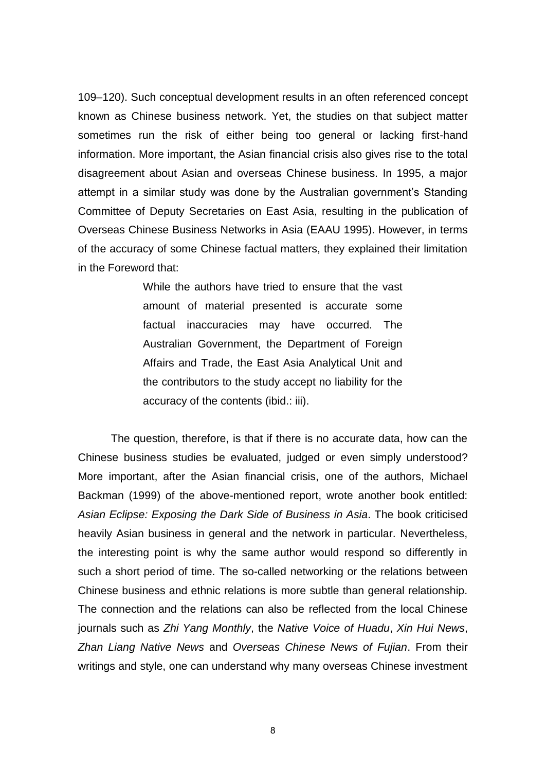109–120). Such conceptual development results in an often referenced concept known as Chinese business network. Yet, the studies on that subject matter sometimes run the risk of either being too general or lacking first-hand information. More important, the Asian financial crisis also gives rise to the total disagreement about Asian and overseas Chinese business. In 1995, a major attempt in a similar study was done by the Australian government's Standing Committee of Deputy Secretaries on East Asia, resulting in the publication of Overseas Chinese Business Networks in Asia (EAAU 1995). However, in terms of the accuracy of some Chinese factual matters, they explained their limitation in the Foreword that:

> While the authors have tried to ensure that the vast amount of material presented is accurate some factual inaccuracies may have occurred. The Australian Government, the Department of Foreign Affairs and Trade, the East Asia Analytical Unit and the contributors to the study accept no liability for the accuracy of the contents (ibid.: iii).

The question, therefore, is that if there is no accurate data, how can the Chinese business studies be evaluated, judged or even simply understood? More important, after the Asian financial crisis, one of the authors, Michael Backman (1999) of the above-mentioned report, wrote another book entitled: *Asian Eclipse: Exposing the Dark Side of Business in Asia*. The book criticised heavily Asian business in general and the network in particular. Nevertheless, the interesting point is why the same author would respond so differently in such a short period of time. The so-called networking or the relations between Chinese business and ethnic relations is more subtle than general relationship. The connection and the relations can also be reflected from the local Chinese journals such as *Zhi Yang Monthly*, the *Native Voice of Huadu*, *Xin Hui News*, *Zhan Liang Native News* and *Overseas Chinese News of Fujian*. From their writings and style, one can understand why many overseas Chinese investment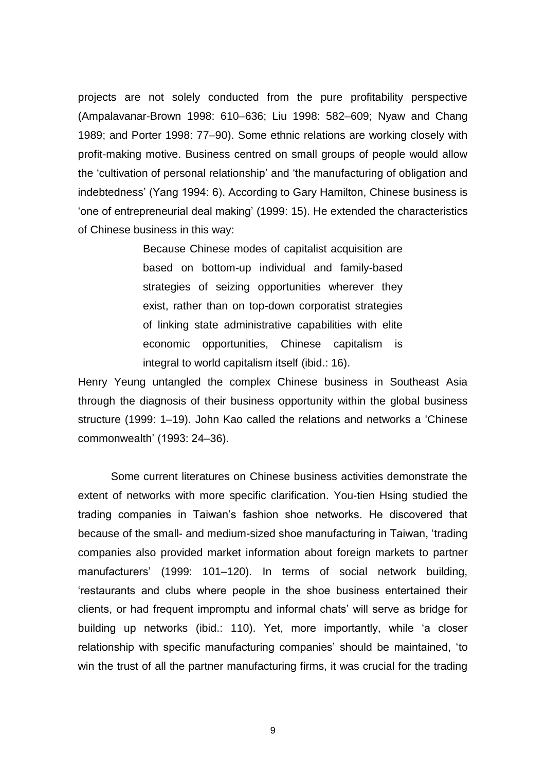projects are not solely conducted from the pure profitability perspective (Ampalavanar-Brown 1998: 610–636; Liu 1998: 582–609; Nyaw and Chang 1989; and Porter 1998: 77–90). Some ethnic relations are working closely with profit-making motive. Business centred on small groups of people would allow the 'cultivation of personal relationship' and 'the manufacturing of obligation and indebtedness' (Yang 1994: 6). According to Gary Hamilton, Chinese business is 'one of entrepreneurial deal making' (1999: 15). He extended the characteristics of Chinese business in this way:

> Because Chinese modes of capitalist acquisition are based on bottom-up individual and family-based strategies of seizing opportunities wherever they exist, rather than on top-down corporatist strategies of linking state administrative capabilities with elite economic opportunities, Chinese capitalism is integral to world capitalism itself (ibid.: 16).

Henry Yeung untangled the complex Chinese business in Southeast Asia through the diagnosis of their business opportunity within the global business structure (1999: 1–19). John Kao called the relations and networks a 'Chinese commonwealth' (1993: 24–36).

Some current literatures on Chinese business activities demonstrate the extent of networks with more specific clarification. You-tien Hsing studied the trading companies in Taiwan's fashion shoe networks. He discovered that because of the small- and medium-sized shoe manufacturing in Taiwan, 'trading companies also provided market information about foreign markets to partner manufacturers' (1999: 101–120). In terms of social network building, 'restaurants and clubs where people in the shoe business entertained their clients, or had frequent impromptu and informal chats' will serve as bridge for building up networks (ibid.: 110). Yet, more importantly, while 'a closer relationship with specific manufacturing companies' should be maintained, 'to win the trust of all the partner manufacturing firms, it was crucial for the trading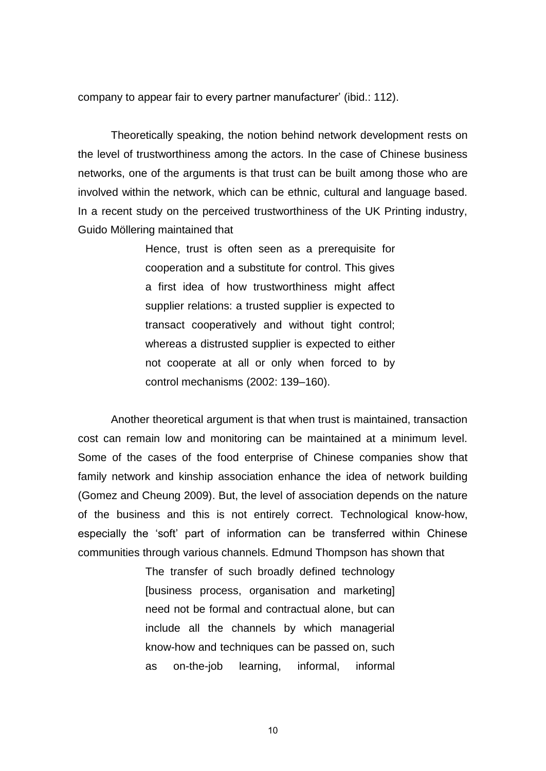company to appear fair to every partner manufacturer' (ibid.: 112).

Theoretically speaking, the notion behind network development rests on the level of trustworthiness among the actors. In the case of Chinese business networks, one of the arguments is that trust can be built among those who are involved within the network, which can be ethnic, cultural and language based. In a recent study on the perceived trustworthiness of the UK Printing industry, Guido Möllering maintained that

> Hence, trust is often seen as a prerequisite for cooperation and a substitute for control. This gives a first idea of how trustworthiness might affect supplier relations: a trusted supplier is expected to transact cooperatively and without tight control; whereas a distrusted supplier is expected to either not cooperate at all or only when forced to by control mechanisms (2002: 139–160).

Another theoretical argument is that when trust is maintained, transaction cost can remain low and monitoring can be maintained at a minimum level. Some of the cases of the food enterprise of Chinese companies show that family network and kinship association enhance the idea of network building (Gomez and Cheung 2009). But, the level of association depends on the nature of the business and this is not entirely correct. Technological know-how, especially the 'soft' part of information can be transferred within Chinese communities through various channels. Edmund Thompson has shown that

> The transfer of such broadly defined technology [business process, organisation and marketing] need not be formal and contractual alone, but can include all the channels by which managerial know-how and techniques can be passed on, such as on-the-job learning, informal, informal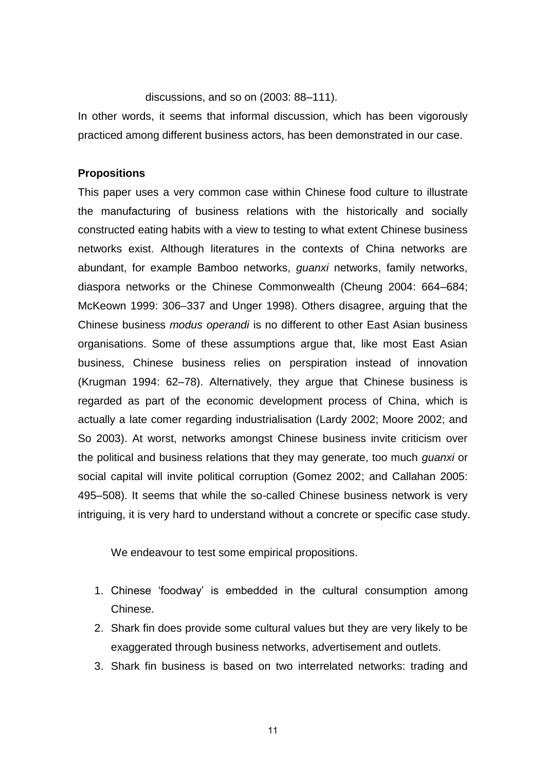#### discussions, and so on (2003: 88–111).

In other words, it seems that informal discussion, which has been vigorously practiced among different business actors, has been demonstrated in our case.

#### **Propositions**

This paper uses a very common case within Chinese food culture to illustrate the manufacturing of business relations with the historically and socially constructed eating habits with a view to testing to what extent Chinese business networks exist. Although literatures in the contexts of China networks are abundant, for example Bamboo networks, *guanxi* networks, family networks, diaspora networks or the Chinese Commonwealth (Cheung 2004: 664–684; McKeown 1999: 306–337 and Unger 1998). Others disagree, arguing that the Chinese business *modus operandi* is no different to other East Asian business organisations. Some of these assumptions argue that, like most East Asian business, Chinese business relies on perspiration instead of innovation (Krugman 1994: 62–78). Alternatively, they argue that Chinese business is regarded as part of the economic development process of China, which is actually a late comer regarding industrialisation (Lardy 2002; Moore 2002; and So 2003). At worst, networks amongst Chinese business invite criticism over the political and business relations that they may generate, too much *guanxi* or social capital will invite political corruption (Gomez 2002; and Callahan 2005: 495–508). It seems that while the so-called Chinese business network is very intriguing, it is very hard to understand without a concrete or specific case study.

We endeavour to test some empirical propositions.

- 1. Chinese 'foodway' is embedded in the cultural consumption among Chinese.
- 2. Shark fin does provide some cultural values but they are very likely to be exaggerated through business networks, advertisement and outlets.
- 3. Shark fin business is based on two interrelated networks: trading and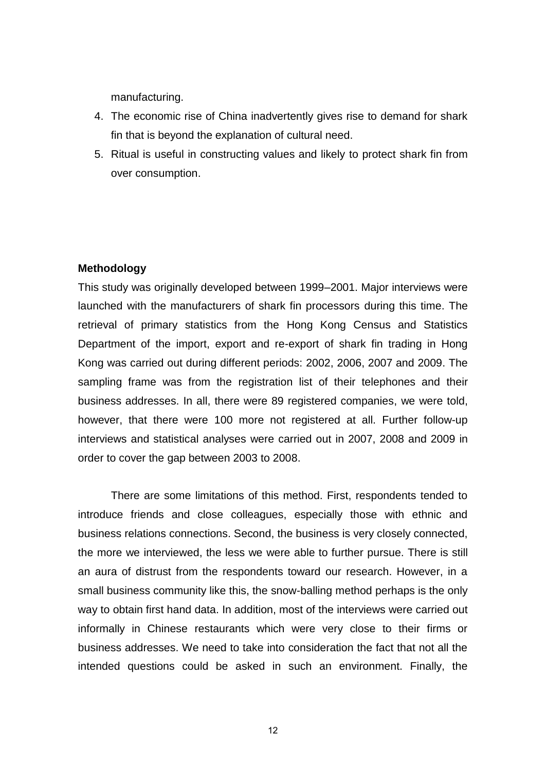manufacturing.

- 4. The economic rise of China inadvertently gives rise to demand for shark fin that is beyond the explanation of cultural need.
- 5. Ritual is useful in constructing values and likely to protect shark fin from over consumption.

#### **Methodology**

This study was originally developed between 1999–2001. Major interviews were launched with the manufacturers of shark fin processors during this time. The retrieval of primary statistics from the Hong Kong Census and Statistics Department of the import, export and re-export of shark fin trading in Hong Kong was carried out during different periods: 2002, 2006, 2007 and 2009. The sampling frame was from the registration list of their telephones and their business addresses. In all, there were 89 registered companies, we were told, however, that there were 100 more not registered at all. Further follow-up interviews and statistical analyses were carried out in 2007, 2008 and 2009 in order to cover the gap between 2003 to 2008.

There are some limitations of this method. First, respondents tended to introduce friends and close colleagues, especially those with ethnic and business relations connections. Second, the business is very closely connected, the more we interviewed, the less we were able to further pursue. There is still an aura of distrust from the respondents toward our research. However, in a small business community like this, the snow-balling method perhaps is the only way to obtain first hand data. In addition, most of the interviews were carried out informally in Chinese restaurants which were very close to their firms or business addresses. We need to take into consideration the fact that not all the intended questions could be asked in such an environment. Finally, the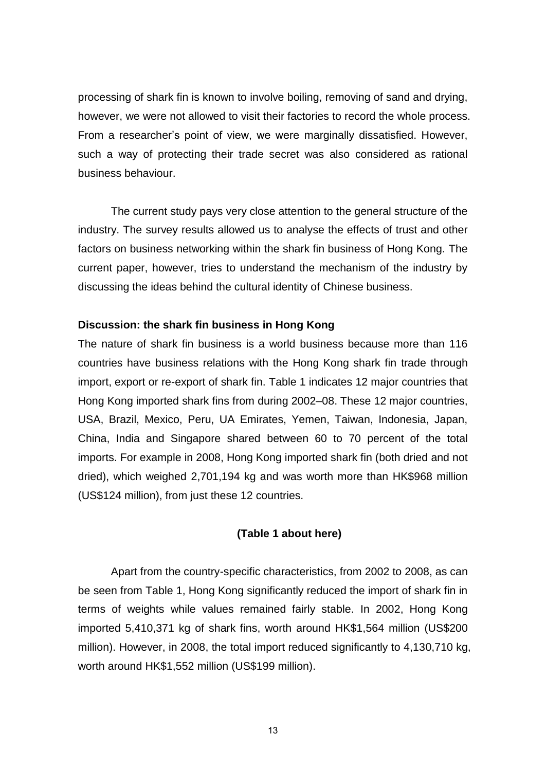processing of shark fin is known to involve boiling, removing of sand and drying, however, we were not allowed to visit their factories to record the whole process. From a researcher's point of view, we were marginally dissatisfied. However, such a way of protecting their trade secret was also considered as rational business behaviour.

The current study pays very close attention to the general structure of the industry. The survey results allowed us to analyse the effects of trust and other factors on business networking within the shark fin business of Hong Kong. The current paper, however, tries to understand the mechanism of the industry by discussing the ideas behind the cultural identity of Chinese business.

# **Discussion: the shark fin business in Hong Kong**

The nature of shark fin business is a world business because more than 116 countries have business relations with the Hong Kong shark fin trade through import, export or re-export of shark fin. Table 1 indicates 12 major countries that Hong Kong imported shark fins from during 2002–08. These 12 major countries, USA, Brazil, Mexico, Peru, UA Emirates, Yemen, Taiwan, Indonesia, Japan, China, India and Singapore shared between 60 to 70 percent of the total imports. For example in 2008, Hong Kong imported shark fin (both dried and not dried), which weighed 2,701,194 kg and was worth more than HK\$968 million (US\$124 million), from just these 12 countries.

# **(Table 1 about here)**

Apart from the country-specific characteristics, from 2002 to 2008, as can be seen from Table 1, Hong Kong significantly reduced the import of shark fin in terms of weights while values remained fairly stable. In 2002, Hong Kong imported 5,410,371 kg of shark fins, worth around HK\$1,564 million (US\$200 million). However, in 2008, the total import reduced significantly to 4,130,710 kg, worth around HK\$1,552 million (US\$199 million).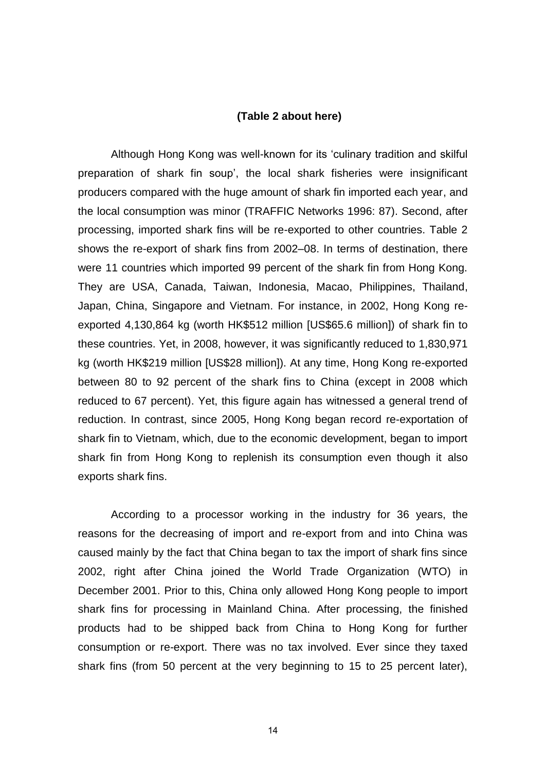### **(Table 2 about here)**

Although Hong Kong was well-known for its 'culinary tradition and skilful preparation of shark fin soup', the local shark fisheries were insignificant producers compared with the huge amount of shark fin imported each year, and the local consumption was minor (TRAFFIC Networks 1996: 87). Second, after processing, imported shark fins will be re-exported to other countries. Table 2 shows the re-export of shark fins from 2002–08. In terms of destination, there were 11 countries which imported 99 percent of the shark fin from Hong Kong. They are USA, Canada, Taiwan, Indonesia, Macao, Philippines, Thailand, Japan, China, Singapore and Vietnam. For instance, in 2002, Hong Kong reexported 4,130,864 kg (worth HK\$512 million [US\$65.6 million]) of shark fin to these countries. Yet, in 2008, however, it was significantly reduced to 1,830,971 kg (worth HK\$219 million [US\$28 million]). At any time, Hong Kong re-exported between 80 to 92 percent of the shark fins to China (except in 2008 which reduced to 67 percent). Yet, this figure again has witnessed a general trend of reduction. In contrast, since 2005, Hong Kong began record re-exportation of shark fin to Vietnam, which, due to the economic development, began to import shark fin from Hong Kong to replenish its consumption even though it also exports shark fins.

According to a processor working in the industry for 36 years, the reasons for the decreasing of import and re-export from and into China was caused mainly by the fact that China began to tax the import of shark fins since 2002, right after China joined the World Trade Organization (WTO) in December 2001. Prior to this, China only allowed Hong Kong people to import shark fins for processing in Mainland China. After processing, the finished products had to be shipped back from China to Hong Kong for further consumption or re-export. There was no tax involved. Ever since they taxed shark fins (from 50 percent at the very beginning to 15 to 25 percent later),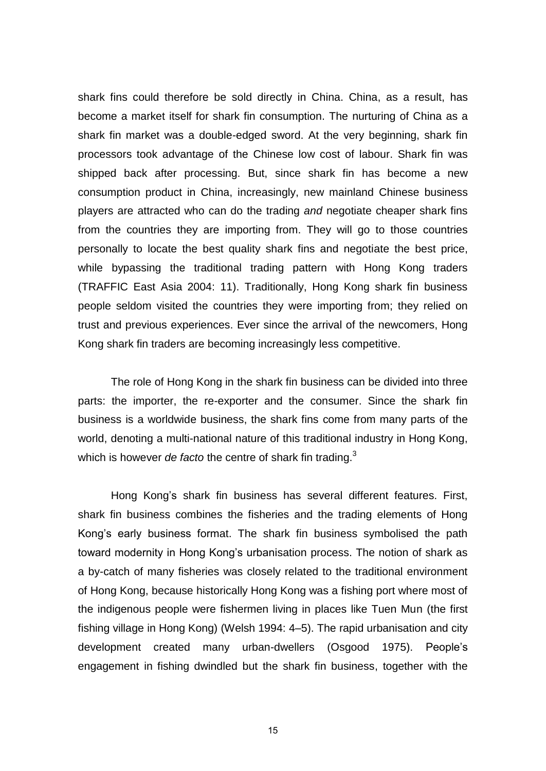shark fins could therefore be sold directly in China. China, as a result, has become a market itself for shark fin consumption. The nurturing of China as a shark fin market was a double-edged sword. At the very beginning, shark fin processors took advantage of the Chinese low cost of labour. Shark fin was shipped back after processing. But, since shark fin has become a new consumption product in China, increasingly, new mainland Chinese business players are attracted who can do the trading *and* negotiate cheaper shark fins from the countries they are importing from. They will go to those countries personally to locate the best quality shark fins and negotiate the best price, while bypassing the traditional trading pattern with Hong Kong traders (TRAFFIC East Asia 2004: 11). Traditionally, Hong Kong shark fin business people seldom visited the countries they were importing from; they relied on trust and previous experiences. Ever since the arrival of the newcomers, Hong Kong shark fin traders are becoming increasingly less competitive.

The role of Hong Kong in the shark fin business can be divided into three parts: the importer, the re-exporter and the consumer. Since the shark fin business is a worldwide business, the shark fins come from many parts of the world, denoting a multi-national nature of this traditional industry in Hong Kong, which is however *de facto* the centre of shark fin trading.<sup>3</sup>

Hong Kong's shark fin business has several different features. First, shark fin business combines the fisheries and the trading elements of Hong Kong's early business format. The shark fin business symbolised the path toward modernity in Hong Kong's urbanisation process. The notion of shark as a by-catch of many fisheries was closely related to the traditional environment of Hong Kong, because historically Hong Kong was a fishing port where most of the indigenous people were fishermen living in places like Tuen Mun (the first fishing village in Hong Kong) (Welsh 1994: 4–5). The rapid urbanisation and city development created many urban-dwellers (Osgood 1975). People's engagement in fishing dwindled but the shark fin business, together with the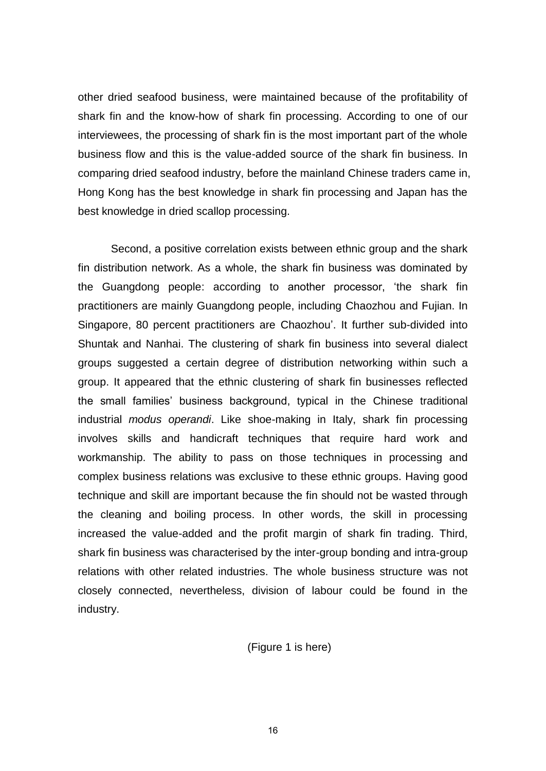other dried seafood business, were maintained because of the profitability of shark fin and the know-how of shark fin processing. According to one of our interviewees, the processing of shark fin is the most important part of the whole business flow and this is the value-added source of the shark fin business. In comparing dried seafood industry, before the mainland Chinese traders came in, Hong Kong has the best knowledge in shark fin processing and Japan has the best knowledge in dried scallop processing.

Second, a positive correlation exists between ethnic group and the shark fin distribution network. As a whole, the shark fin business was dominated by the Guangdong people: according to another processor, 'the shark fin practitioners are mainly Guangdong people, including Chaozhou and Fujian. In Singapore, 80 percent practitioners are Chaozhou'. It further sub-divided into Shuntak and Nanhai. The clustering of shark fin business into several dialect groups suggested a certain degree of distribution networking within such a group. It appeared that the ethnic clustering of shark fin businesses reflected the small families' business background, typical in the Chinese traditional industrial *modus operandi*. Like shoe-making in Italy, shark fin processing involves skills and handicraft techniques that require hard work and workmanship. The ability to pass on those techniques in processing and complex business relations was exclusive to these ethnic groups. Having good technique and skill are important because the fin should not be wasted through the cleaning and boiling process. In other words, the skill in processing increased the value-added and the profit margin of shark fin trading. Third, shark fin business was characterised by the inter-group bonding and intra-group relations with other related industries. The whole business structure was not closely connected, nevertheless, division of labour could be found in the industry.

(Figure 1 is here)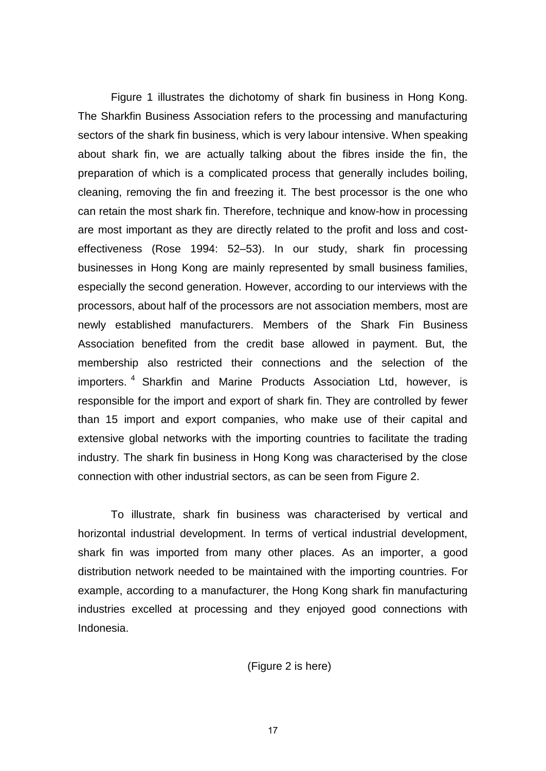Figure 1 illustrates the dichotomy of shark fin business in Hong Kong. The Sharkfin Business Association refers to the processing and manufacturing sectors of the shark fin business, which is very labour intensive. When speaking about shark fin, we are actually talking about the fibres inside the fin, the preparation of which is a complicated process that generally includes boiling, cleaning, removing the fin and freezing it. The best processor is the one who can retain the most shark fin. Therefore, technique and know-how in processing are most important as they are directly related to the profit and loss and costeffectiveness (Rose 1994: 52–53). In our study, shark fin processing businesses in Hong Kong are mainly represented by small business families, especially the second generation. However, according to our interviews with the processors, about half of the processors are not association members, most are newly established manufacturers. Members of the Shark Fin Business Association benefited from the credit base allowed in payment. But, the membership also restricted their connections and the selection of the importers. <sup>4</sup> Sharkfin and Marine Products Association Ltd, however, is responsible for the import and export of shark fin. They are controlled by fewer than 15 import and export companies, who make use of their capital and extensive global networks with the importing countries to facilitate the trading industry. The shark fin business in Hong Kong was characterised by the close connection with other industrial sectors, as can be seen from Figure 2.

To illustrate, shark fin business was characterised by vertical and horizontal industrial development. In terms of vertical industrial development, shark fin was imported from many other places. As an importer, a good distribution network needed to be maintained with the importing countries. For example, according to a manufacturer, the Hong Kong shark fin manufacturing industries excelled at processing and they enjoyed good connections with Indonesia.

(Figure 2 is here)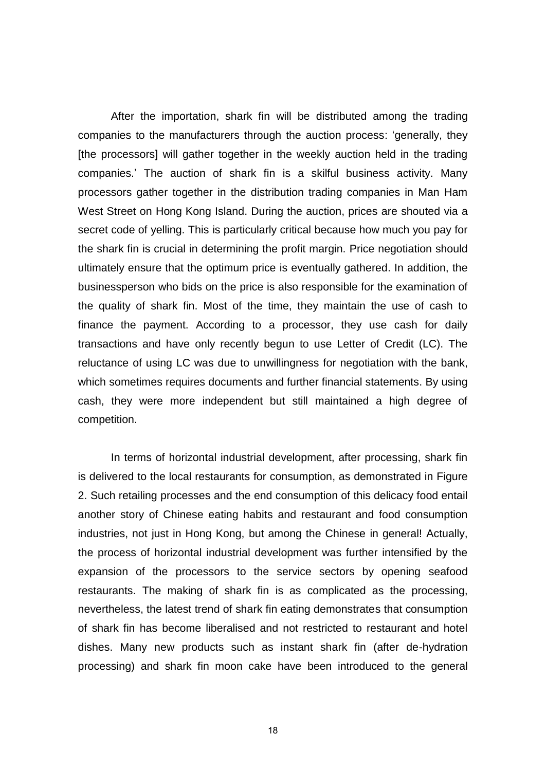After the importation, shark fin will be distributed among the trading companies to the manufacturers through the auction process: 'generally, they [the processors] will gather together in the weekly auction held in the trading companies.' The auction of shark fin is a skilful business activity. Many processors gather together in the distribution trading companies in Man Ham West Street on Hong Kong Island. During the auction, prices are shouted via a secret code of yelling. This is particularly critical because how much you pay for the shark fin is crucial in determining the profit margin. Price negotiation should ultimately ensure that the optimum price is eventually gathered. In addition, the businessperson who bids on the price is also responsible for the examination of the quality of shark fin. Most of the time, they maintain the use of cash to finance the payment. According to a processor, they use cash for daily transactions and have only recently begun to use Letter of Credit (LC). The reluctance of using LC was due to unwillingness for negotiation with the bank, which sometimes requires documents and further financial statements. By using cash, they were more independent but still maintained a high degree of competition.

In terms of horizontal industrial development, after processing, shark fin is delivered to the local restaurants for consumption, as demonstrated in Figure 2. Such retailing processes and the end consumption of this delicacy food entail another story of Chinese eating habits and restaurant and food consumption industries, not just in Hong Kong, but among the Chinese in general! Actually, the process of horizontal industrial development was further intensified by the expansion of the processors to the service sectors by opening seafood restaurants. The making of shark fin is as complicated as the processing, nevertheless, the latest trend of shark fin eating demonstrates that consumption of shark fin has become liberalised and not restricted to restaurant and hotel dishes. Many new products such as instant shark fin (after de-hydration processing) and shark fin moon cake have been introduced to the general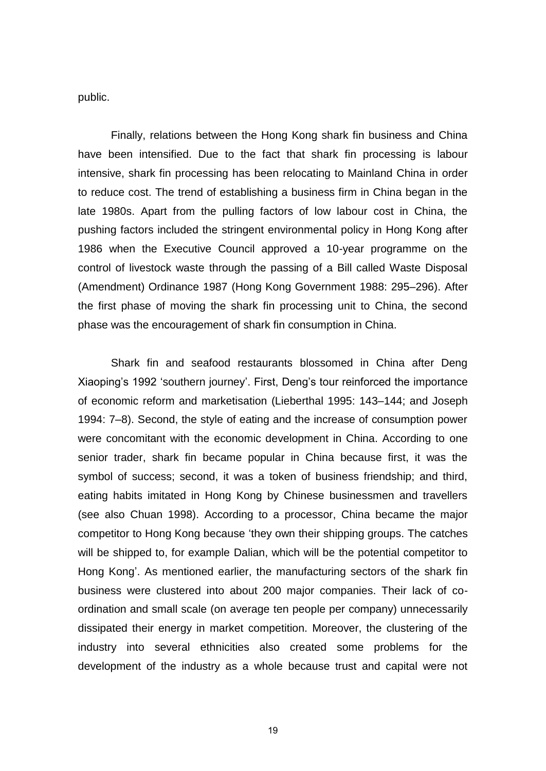public.

Finally, relations between the Hong Kong shark fin business and China have been intensified. Due to the fact that shark fin processing is labour intensive, shark fin processing has been relocating to Mainland China in order to reduce cost. The trend of establishing a business firm in China began in the late 1980s. Apart from the pulling factors of low labour cost in China, the pushing factors included the stringent environmental policy in Hong Kong after 1986 when the Executive Council approved a 10-year programme on the control of livestock waste through the passing of a Bill called Waste Disposal (Amendment) Ordinance 1987 (Hong Kong Government 1988: 295–296). After the first phase of moving the shark fin processing unit to China, the second phase was the encouragement of shark fin consumption in China.

Shark fin and seafood restaurants blossomed in China after Deng Xiaoping's 1992 'southern journey'. First, Deng's tour reinforced the importance of economic reform and marketisation (Lieberthal 1995: 143–144; and Joseph 1994: 7–8). Second, the style of eating and the increase of consumption power were concomitant with the economic development in China. According to one senior trader, shark fin became popular in China because first, it was the symbol of success; second, it was a token of business friendship; and third, eating habits imitated in Hong Kong by Chinese businessmen and travellers (see also Chuan 1998). According to a processor, China became the major competitor to Hong Kong because 'they own their shipping groups. The catches will be shipped to, for example Dalian, which will be the potential competitor to Hong Kong'. As mentioned earlier, the manufacturing sectors of the shark fin business were clustered into about 200 major companies. Their lack of coordination and small scale (on average ten people per company) unnecessarily dissipated their energy in market competition. Moreover, the clustering of the industry into several ethnicities also created some problems for the development of the industry as a whole because trust and capital were not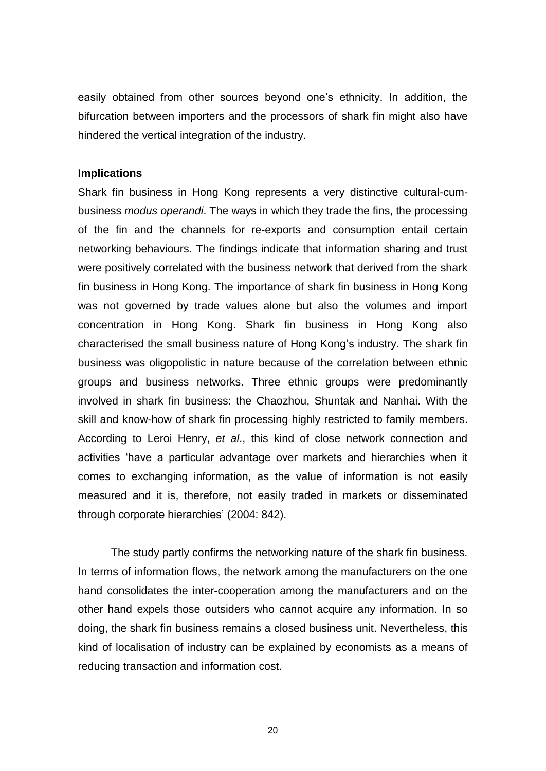easily obtained from other sources beyond one's ethnicity. In addition, the bifurcation between importers and the processors of shark fin might also have hindered the vertical integration of the industry.

#### **Implications**

Shark fin business in Hong Kong represents a very distinctive cultural-cumbusiness *modus operandi*. The ways in which they trade the fins, the processing of the fin and the channels for re-exports and consumption entail certain networking behaviours. The findings indicate that information sharing and trust were positively correlated with the business network that derived from the shark fin business in Hong Kong. The importance of shark fin business in Hong Kong was not governed by trade values alone but also the volumes and import concentration in Hong Kong. Shark fin business in Hong Kong also characterised the small business nature of Hong Kong's industry. The shark fin business was oligopolistic in nature because of the correlation between ethnic groups and business networks. Three ethnic groups were predominantly involved in shark fin business: the Chaozhou, Shuntak and Nanhai. With the skill and know-how of shark fin processing highly restricted to family members. According to Leroi Henry, *et al*., this kind of close network connection and activities 'have a particular advantage over markets and hierarchies when it comes to exchanging information, as the value of information is not easily measured and it is, therefore, not easily traded in markets or disseminated through corporate hierarchies' (2004: 842).

The study partly confirms the networking nature of the shark fin business. In terms of information flows, the network among the manufacturers on the one hand consolidates the inter-cooperation among the manufacturers and on the other hand expels those outsiders who cannot acquire any information. In so doing, the shark fin business remains a closed business unit. Nevertheless, this kind of localisation of industry can be explained by economists as a means of reducing transaction and information cost.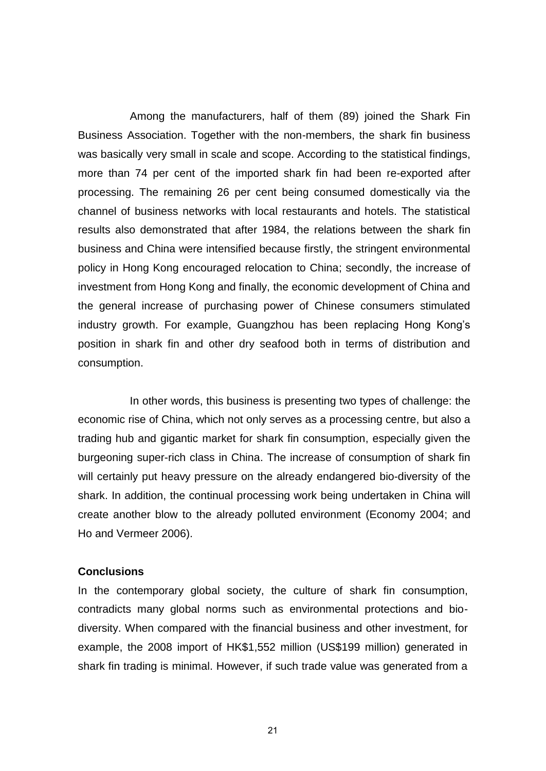Among the manufacturers, half of them (89) joined the Shark Fin Business Association. Together with the non-members, the shark fin business was basically very small in scale and scope. According to the statistical findings, more than 74 per cent of the imported shark fin had been re-exported after processing. The remaining 26 per cent being consumed domestically via the channel of business networks with local restaurants and hotels. The statistical results also demonstrated that after 1984, the relations between the shark fin business and China were intensified because firstly, the stringent environmental policy in Hong Kong encouraged relocation to China; secondly, the increase of investment from Hong Kong and finally, the economic development of China and the general increase of purchasing power of Chinese consumers stimulated industry growth. For example, Guangzhou has been replacing Hong Kong's position in shark fin and other dry seafood both in terms of distribution and consumption.

In other words, this business is presenting two types of challenge: the economic rise of China, which not only serves as a processing centre, but also a trading hub and gigantic market for shark fin consumption, especially given the burgeoning super-rich class in China. The increase of consumption of shark fin will certainly put heavy pressure on the already endangered bio-diversity of the shark. In addition, the continual processing work being undertaken in China will create another blow to the already polluted environment (Economy 2004; and Ho and Vermeer 2006).

#### **Conclusions**

In the contemporary global society, the culture of shark fin consumption, contradicts many global norms such as environmental protections and biodiversity. When compared with the financial business and other investment, for example, the 2008 import of HK\$1,552 million (US\$199 million) generated in shark fin trading is minimal. However, if such trade value was generated from a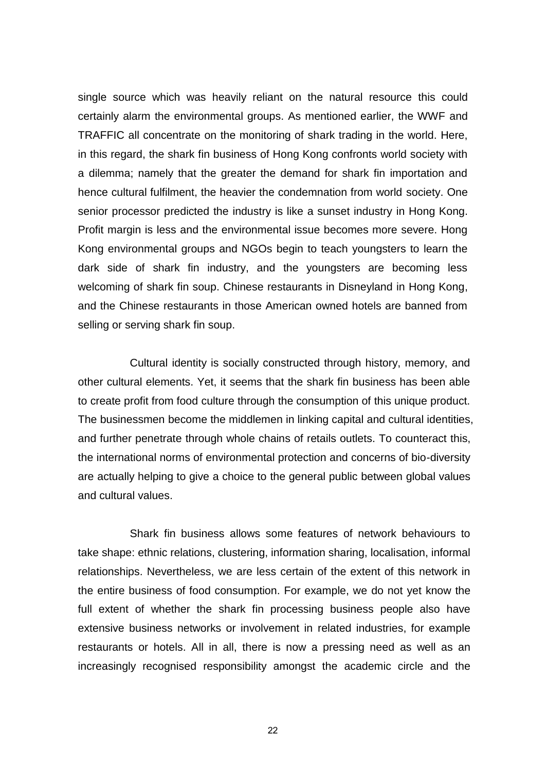single source which was heavily reliant on the natural resource this could certainly alarm the environmental groups. As mentioned earlier, the WWF and TRAFFIC all concentrate on the monitoring of shark trading in the world. Here, in this regard, the shark fin business of Hong Kong confronts world society with a dilemma; namely that the greater the demand for shark fin importation and hence cultural fulfilment, the heavier the condemnation from world society. One senior processor predicted the industry is like a sunset industry in Hong Kong. Profit margin is less and the environmental issue becomes more severe. Hong Kong environmental groups and NGOs begin to teach youngsters to learn the dark side of shark fin industry, and the youngsters are becoming less welcoming of shark fin soup. Chinese restaurants in Disneyland in Hong Kong, and the Chinese restaurants in those American owned hotels are banned from selling or serving shark fin soup.

Cultural identity is socially constructed through history, memory, and other cultural elements. Yet, it seems that the shark fin business has been able to create profit from food culture through the consumption of this unique product. The businessmen become the middlemen in linking capital and cultural identities, and further penetrate through whole chains of retails outlets. To counteract this, the international norms of environmental protection and concerns of bio-diversity are actually helping to give a choice to the general public between global values and cultural values.

Shark fin business allows some features of network behaviours to take shape: ethnic relations, clustering, information sharing, localisation, informal relationships. Nevertheless, we are less certain of the extent of this network in the entire business of food consumption. For example, we do not yet know the full extent of whether the shark fin processing business people also have extensive business networks or involvement in related industries, for example restaurants or hotels. All in all, there is now a pressing need as well as an increasingly recognised responsibility amongst the academic circle and the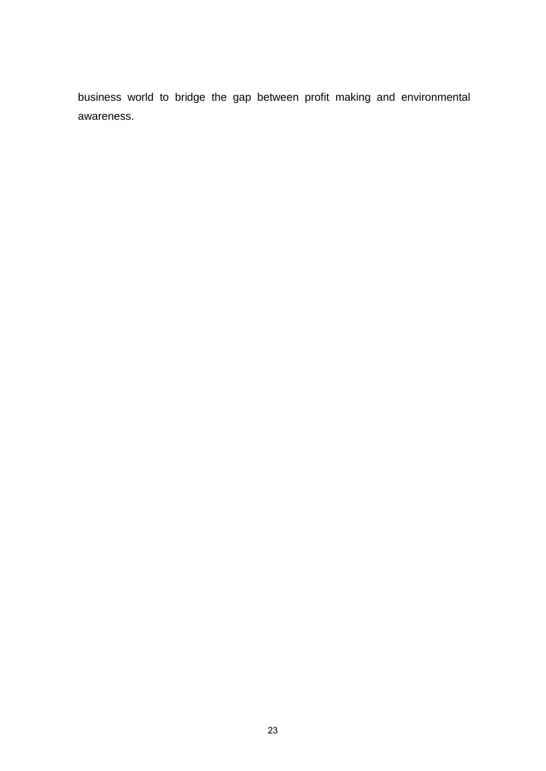business world to bridge the gap between profit making and environmental awareness.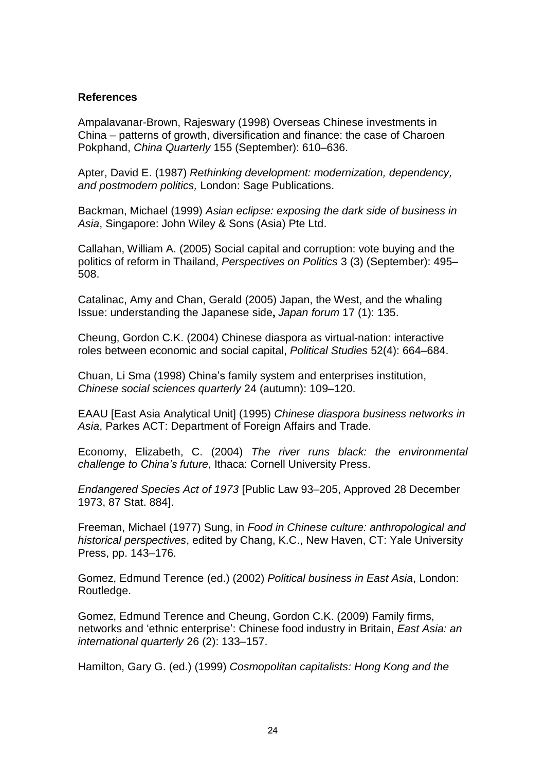# **References**

Ampalavanar-Brown, Rajeswary (1998) Overseas Chinese investments in China – patterns of growth, diversification and finance: the case of Charoen Pokphand, *China Quarterly* 155 (September): 610–636.

Apter, David E. (1987) *Rethinking development: modernization, dependency, and postmodern politics,* London: Sage Publications.

Backman, Michael (1999) *Asian eclipse: exposing the dark side of business in Asia*, Singapore: John Wiley & Sons (Asia) Pte Ltd.

Callahan, William A. (2005) Social capital and corruption: vote buying and the politics of reform in Thailand, *Perspectives on Politics* 3 (3) (September): 495– 508.

Catalinac, Amy and Chan, Gerald (2005) [Japan, the West, and the whaling](http://www.ingentaconnect.com/content/routledg/rjfo/2005/00000017/00000001/art00007)  [Issue: understanding the Japanese side](http://www.ingentaconnect.com/content/routledg/rjfo/2005/00000017/00000001/art00007)**,** *Japan forum* 17 (1): 135.

Cheung, Gordon C.K. (2004) Chinese diaspora as virtual-nation: interactive roles between economic and social capital, *Political Studies* 52(4): 664–684.

Chuan, Li Sma (1998) China's family system and enterprises institution, *Chinese social sciences quarterly* 24 (autumn): 109–120.

EAAU [East Asia Analytical Unit] (1995) *Chinese diaspora business networks in Asia*, Parkes ACT: Department of Foreign Affairs and Trade.

Economy, Elizabeth, C. (2004) *The river runs black: the environmental challenge to China's future*, Ithaca: Cornell University Press.

*Endangered Species Act of 1973* [Public Law 93–205, Approved 28 December 1973, 87 Stat. 884].

Freeman, Michael (1977) Sung, in *Food in Chinese culture: anthropological and historical perspectives*, edited by Chang, K.C., New Haven, CT: Yale University Press, pp. 143–176.

Gomez, Edmund Terence (ed.) (2002) *Political business in East Asia*, London: Routledge.

Gomez, Edmund Terence and Cheung, Gordon C.K. (2009) Family firms, networks and 'ethnic enterprise': Chinese food industry in Britain, *East Asia: an international quarterly* 26 (2): 133–157.

Hamilton, Gary G. (ed.) (1999) *Cosmopolitan capitalists: Hong Kong and the*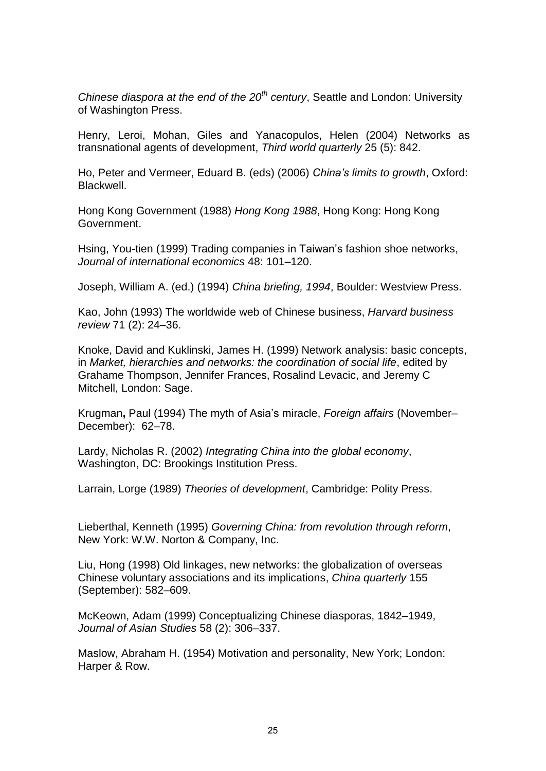*Chinese diaspora at the end of the 20th century*, Seattle and London: University of Washington Press.

Henry, Leroi, Mohan, Giles and Yanacopulos, Helen (2004) Networks as transnational agents of development, *Third world quarterly* 25 (5): 842.

Ho, Peter and Vermeer, Eduard B. (eds) (2006) *China's limits to growth*, Oxford: Blackwell.

Hong Kong Government (1988) *Hong Kong 1988*, Hong Kong: Hong Kong Government.

Hsing, You-tien (1999) Trading companies in Taiwan's fashion shoe networks, *Journal of international economics* 48: 101–120.

Joseph, William A. (ed.) (1994) *China briefing, 1994*, Boulder: Westview Press.

Kao, John (1993) The worldwide web of Chinese business, *Harvard business review* 71 (2): 24–36.

Knoke, David and Kuklinski, James H. (1999) Network analysis: basic concepts, in *Market, hierarchies and networks: the coordination of social life*, edited by Grahame Thompson, Jennifer Frances, Rosalind Levacic, and Jeremy C Mitchell, London: Sage.

Krugman**,** Paul (1994) The myth of Asia's miracle, *Foreign affairs* (November– December): 62–78.

Lardy, Nicholas R. (2002) *Integrating China into the global economy*, Washington, DC: Brookings Institution Press.

Larrain, Lorge (1989) *Theories of development*, Cambridge: Polity Press.

Lieberthal, Kenneth (1995) *Governing China: from revolution through reform*, New York: W.W. Norton & Company, Inc.

Liu, Hong (1998) Old linkages, new networks: the globalization of overseas Chinese voluntary associations and its implications, *China quarterly* 155 (September): 582–609.

McKeown, Adam (1999) Conceptualizing Chinese diasporas, 1842–1949, *Journal of Asian Studies* 58 (2): 306–337.

Maslow, Abraham H. (1954) [Motivation and personality,](http://library.dur.ac.uk/search/amaslow%2C+a/amaslow+a/1%2C3%2C10%2CB/frameset&FF=amaslow+abraham+h&3%2C%2C5) New York; London: Harper & Row.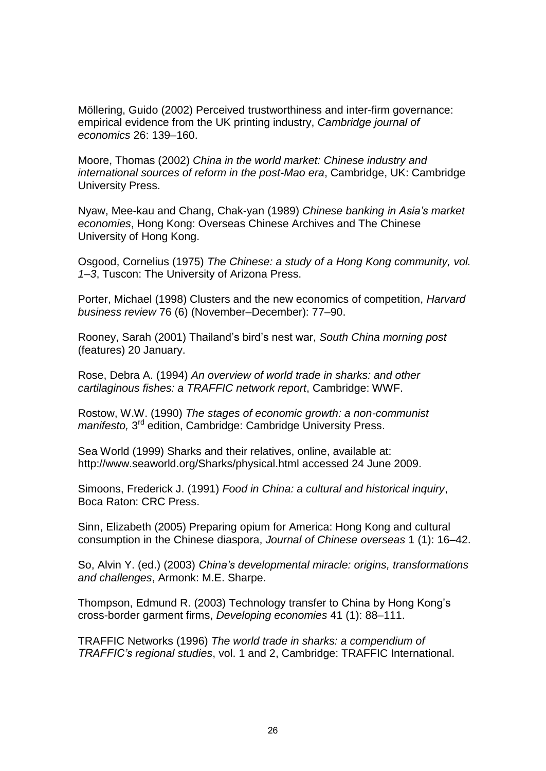Möllering, Guido (2002) Perceived trustworthiness and inter-firm governance: empirical evidence from the UK printing industry, *Cambridge journal of economics* 26: 139–160.

Moore, Thomas (2002) *China in the world market: Chinese industry and international sources of reform in the post-Mao era*, Cambridge, UK: Cambridge University Press.

Nyaw, Mee-kau and Chang, Chak-yan (1989) *Chinese banking in Asia's market economies*, Hong Kong: Overseas Chinese Archives and The Chinese University of Hong Kong.

Osgood, Cornelius (1975) *The Chinese: a study of a Hong Kong community, vol. 1–3*, Tuscon: The University of Arizona Press.

Porter, Michael (1998) Clusters and the new economics of competition, *Harvard business review* 76 (6) (November–December): 77–90.

Rooney, Sarah (2001) Thailand's bird's nest war, *South China morning post* (features) 20 January.

Rose, Debra A. (1994) *An overview of world trade in sharks: and other cartilaginous fishes: a TRAFFIC network report*, Cambridge: WWF.

Rostow, W.W. (1990) *The stages of economic growth: a non-communist*  manifesto, 3<sup>rd</sup> edition, Cambridge: Cambridge University Press.

Sea World (1999) Sharks and their relatives, online, available at: <http://www.seaworld.org/Sharks/physical.html> accessed 24 June 2009.

Simoons, Frederick J. (1991) *Food in China: a cultural and historical inquiry*, Boca Raton: CRC Press.

Sinn, Elizabeth (2005) Preparing opium for America: Hong Kong and cultural consumption in the Chinese diaspora, *Journal of Chinese overseas* 1 (1): 16–42.

So, Alvin Y. (ed.) (2003) *China's developmental miracle: origins, transformations and challenges*, Armonk: M.E. Sharpe.

Thompson, Edmund R. (2003) Technology transfer to China by Hong Kong's cross-border garment firms, *Developing economies* 41 (1): 88–111.

TRAFFIC Networks (1996) *The world trade in sharks: a compendium of TRAFFIC's regional studies*, vol. 1 and 2, Cambridge: TRAFFIC International.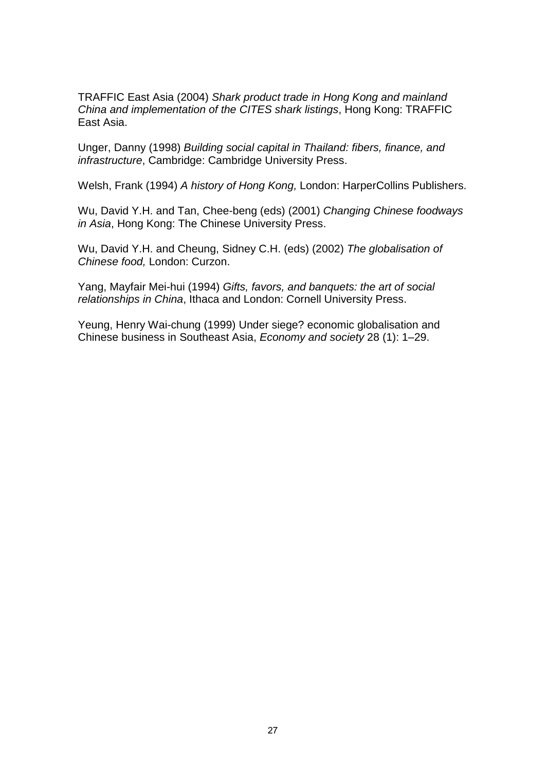TRAFFIC East Asia (2004) *Shark product trade in Hong Kong and mainland China and implementation of the CITES shark listings*, Hong Kong: TRAFFIC East Asia.

Unger, Danny (1998) *Building social capital in Thailand: fibers, finance, and infrastructure*, Cambridge: Cambridge University Press.

Welsh, Frank (1994) *A history of Hong Kong,* London: HarperCollins Publishers.

Wu, David Y.H. and Tan, Chee-beng (eds) (2001) *Changing Chinese foodways in Asia*, Hong Kong: The Chinese University Press.

Wu, David Y.H. and Cheung, Sidney C.H. (eds) (2002) *The globalisation of Chinese food,* London: Curzon.

Yang, Mayfair Mei-hui (1994) *Gifts, favors, and banquets: the art of social relationships in China*, Ithaca and London: Cornell University Press.

Yeung, Henry Wai-chung (1999) Under siege? economic globalisation and Chinese business in Southeast Asia, *Economy and society* 28 (1): 1–29.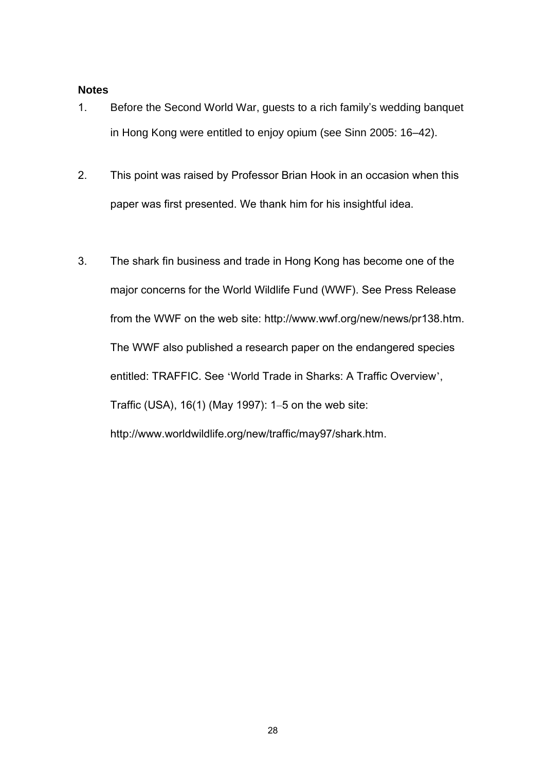# **Notes**

- 1. Before the Second World War, guests to a rich family's wedding banquet in Hong Kong were entitled to enjoy opium (see Sinn 2005: 16–42).
- 2. This point was raised by Professor Brian Hook in an occasion when this paper was first presented. We thank him for his insightful idea.
- 3. The shark fin business and trade in Hong Kong has become one of the major concerns for the World Wildlife Fund (WWF). See Press Release from the WWF on the web site: [http://www.wwf.org/new/news/pr138.htm.](http://www.wwf.org/new/news/pr138.htm) The WWF also published a research paper on the endangered species entitled: TRAFFIC. See 'World Trade in Sharks: A Traffic Overview', Traffic (USA), 16(1) (May 1997): 1–5 on the web site: [http://www.worldwildlife.org/new/traffic/may97/shark.htm.](http://www.worldwildlife.org/new/traffic/may97/shark.htm)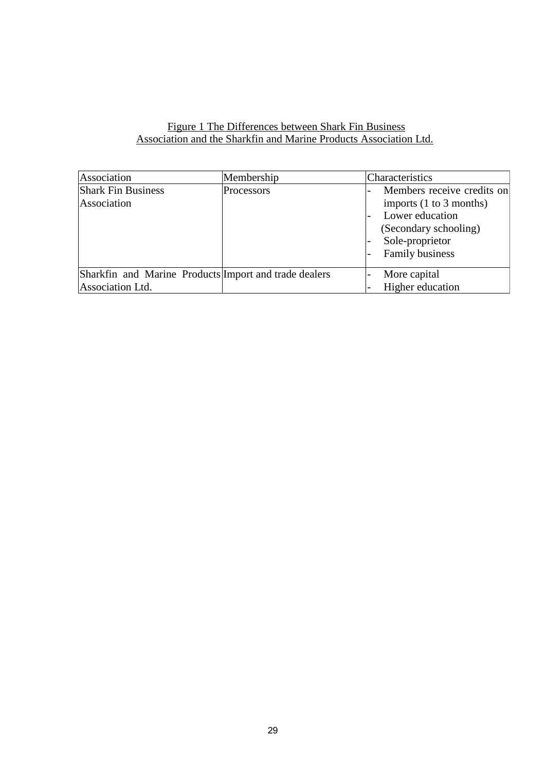# Figure 1 The Differences between Shark Fin Business Association and the Sharkfin and Marine Products Association Ltd.

| Association                              | Membership                                            | Characteristics                                                                                                                         |  |  |  |  |  |
|------------------------------------------|-------------------------------------------------------|-----------------------------------------------------------------------------------------------------------------------------------------|--|--|--|--|--|
| <b>Shark Fin Business</b><br>Association | Processors                                            | Members receive credits on<br>imports (1 to 3 months)<br>Lower education<br>(Secondary schooling)<br>Sole-proprietor<br>Family business |  |  |  |  |  |
| Association Ltd.                         | Sharkfin and Marine Products Import and trade dealers | More capital<br>-<br>Higher education                                                                                                   |  |  |  |  |  |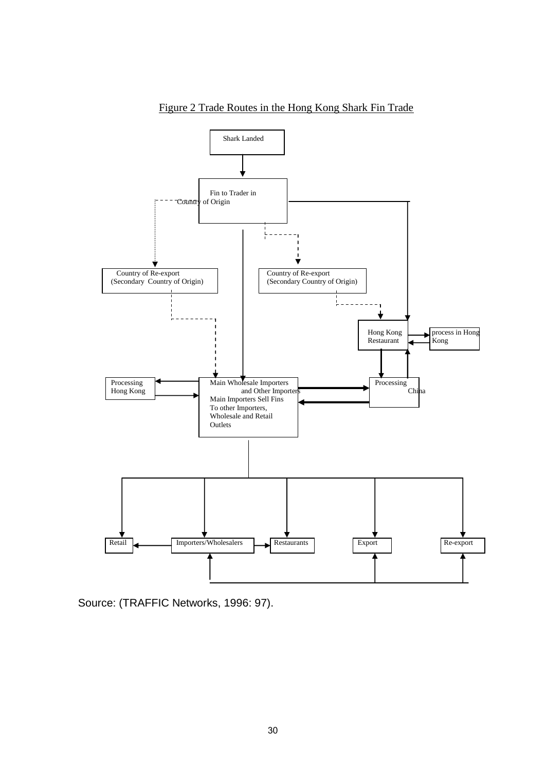

Figure 2 Trade Routes in the Hong Kong Shark Fin Trade

Source: (TRAFFIC Networks, 1996: 97).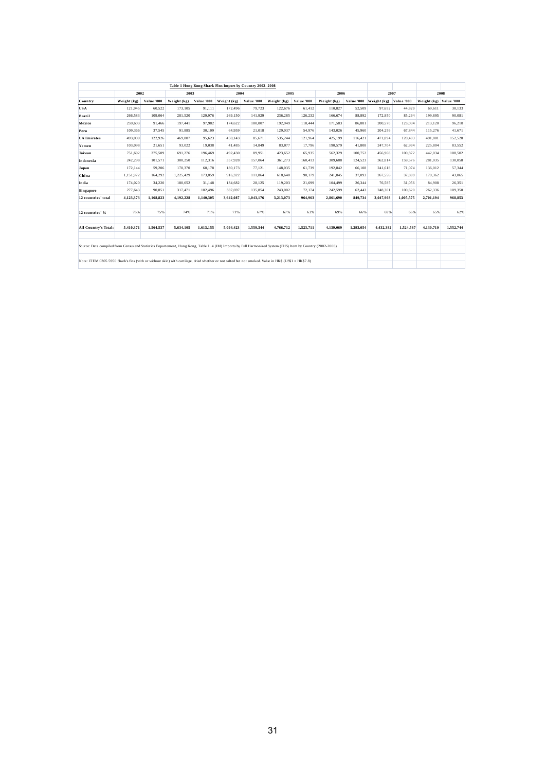|                                                                                                                                                              |             |            |             |            | Table 1 Hong Kong Shark Fins Import by Country 2002-2008 |            |             |            |             |           |                        |            |                        |           |
|--------------------------------------------------------------------------------------------------------------------------------------------------------------|-------------|------------|-------------|------------|----------------------------------------------------------|------------|-------------|------------|-------------|-----------|------------------------|------------|------------------------|-----------|
| 2002                                                                                                                                                         |             |            | 2003        |            | 2004                                                     |            | 2005        |            | 2006        |           | 2007                   |            | 2008                   |           |
| Country                                                                                                                                                      | Weight (kg) | Value '000 | Weight (kg) | Value '000 | Weight (kg)                                              | Value '000 | Weight (kg) | Value '000 | Weight (kg) |           | Value '000 Weight (kg) | Value '000 | Weight (kg) Value '000 |           |
| <b>USA</b>                                                                                                                                                   | 121.945     | 60.522     | 173.105     | 91.111     | 172.496                                                  | 79.723     | 122.676     | 61.412     | 110.827     | 52.509    | 97.652                 | 44.829     | 69.611                 | 30.133    |
| Brazil                                                                                                                                                       | 266.583     | 109,064    | 281.520     | 129.976    | 269.150                                                  | 141.929    | 236.285     | 126.232    | 166,674     | 88.892    | 172,850                | 85.294     | 199,895                | 90.081    |
| Mexico                                                                                                                                                       | 259.603     | 91.466     | 197.441     | 97.982     | 174.622                                                  | 100,007    | 192.949     | 110,444    | 171.583     | 86,881    | 200.570                | 123.034    | 213.120                | 96.218    |
| Peru                                                                                                                                                         | 109,366     | 37.545     | 91.885      | 30.109     | 64.959                                                   | 21.018     | 129,037     | 54.976     | 143.026     | 45.960    | 204.256                | 67.844     | 115,276                | 41,671    |
| <b>UA Emirates</b>                                                                                                                                           | 493,009     | 122.926    | 469,807     | 95.623     | 450.143                                                  | 85.671     | 535.244     | 121.964    | 425.199     | 116.421   | 471.094                | 120.483    | 491.801                | 152.528   |
| Yemen                                                                                                                                                        | 103,098     | 21.651     | 93.022      | 19.038     | 41.485                                                   | 14,849     | 83,077      | 17.796     | 190.579     | 41.808    | 247.704                | 62.994     | 225.804                | 83,552    |
| Taiwan                                                                                                                                                       | 751.692     | 275.509    | 691.276     | 196,469    | 492.430                                                  | 89.951     | 423.652     | 65.935     | 562.329     | 100.752   | 456,968                | 100.872    | 442.034                | 108,502   |
| Indonesia                                                                                                                                                    | 242.298     | 101.571    | 300.250     | 112,316    | 357,928                                                  | 157.064    | 361.273     | 160.413    | 309.688     | 124.523   | 362.814                | 159,576    | 281.035                | 130,058   |
| Japan                                                                                                                                                        | 172,144     | 59,206     | 170,370     | 60.178     | 180.173                                                  | 77.121     | 148,035     | 61,739     | 192.842     | 66,108    | 241.618                | 71.074     | 136,012                | 57,344    |
| China                                                                                                                                                        | 1.151.972   | 164.292    | 1.225.429   | 173,859    | 916.322                                                  | 111.864    | 618,640     | 90.179     | 241.845     | 37,093    | 267.556                | 37,899     | 179.362                | 43,065    |
| India                                                                                                                                                        | 174.020     | 34.220     | 180.652     | 31.148     | 134.682                                                  | 28.125     | 119.203     | 21.699     | 104,499     | 26,344    | 76.585                 | 31.056     | 84.908                 | 26.351    |
| Singapore                                                                                                                                                    | 277.643     | 90.851     | 317.471     | 102.496    | 387.697                                                  | 135.854    | 243.002     | 72.174     | 242.599     | 62.443    | 248.301                | 100.620    | 262.336                | 109,350   |
| 12 countries' total                                                                                                                                          | 4.123.373   | 1.168.823  | 4.192.228   | 1.140.305  | 3,642,087                                                | 1.043.176  | 3.213.073   | 964.963    | 2,861,690   | 849,734   | 3,047,968              | 1,005,575  | 2.701.194              | 968,853   |
| 12 countries' %                                                                                                                                              | 76%         | 75%        | 74%         | 71%        | 71%                                                      | 67%        | 67%         | 63%        | 69%         | 66%       | 69%                    | 66%        | 65%                    | 62%       |
| <b>All Country's Total:</b>                                                                                                                                  | 5.410.371   | 1,564,537  | 5.634.105   | 1,613,155  | 5,094,423                                                | 1.559.344  | 4,766,712   | 1,523,711  | 4.139,069   | 1.293.054 | 4,432,382              | 1.524.587  | 4.130.710              | 1,552,744 |
| Source: Data compiled from Census and Statistics Departement, Hong Kong, Table 1. 4 (IM) Imports by Full Harmonized System (FHS) Item by Country (2002-2008) |             |            |             |            |                                                          |            |             |            |             |           |                        |            |                        |           |
| Note: ITEM 0305 5950 Shark's fins (with or without skin) with cartilage, dried whether or not salted but not smoked. Value in HK\$ (US\$1 = HK\$7.8)         |             |            |             |            |                                                          |            |             |            |             |           |                        |            |                        |           |